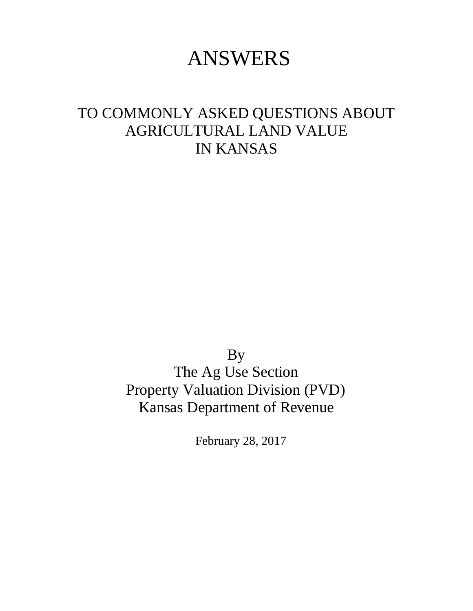# ANSWERS

## TO COMMONLY ASKED QUESTIONS ABOUT AGRICULTURAL LAND VALUE IN KANSAS

By The Ag Use Section Property Valuation Division (PVD) Kansas Department of Revenue

February 28, 2017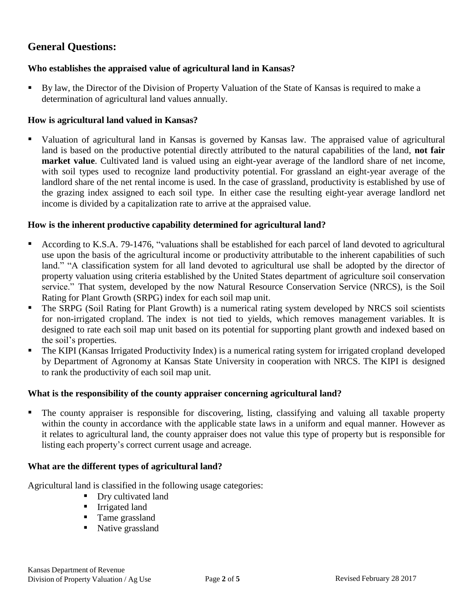## **General Questions:**

#### **Who establishes the appraised value of agricultural land in Kansas?**

By law, the Director of the Division of Property Valuation of the State of Kansas is required to make a determination of agricultural land values annually.

#### **How is agricultural land valued in Kansas?**

Valuation of agricultural land in Kansas is governed by Kansas law. The appraised value of agricultural land is based on the productive potential directly attributed to the natural capabilities of the land, **not fair market value**. Cultivated land is valued using an eight-year average of the landlord share of net income, with soil types used to recognize land productivity potential. For grassland an eight-year average of the landlord share of the net rental income is used. In the case of grassland, productivity is established by use of the grazing index assigned to each soil type. In either case the resulting eight-year average landlord net income is divided by a capitalization rate to arrive at the appraised value.

#### **How is the inherent productive capability determined for agricultural land?**

- According to K.S.A. 79-1476, "valuations shall be established for each parcel of land devoted to agricultural use upon the basis of the agricultural income or productivity attributable to the inherent capabilities of such land." "A classification system for all land devoted to agricultural use shall be adopted by the director of property valuation using criteria established by the United States department of agriculture soil conservation service." That system, developed by the now Natural Resource Conservation Service (NRCS), is the Soil Rating for Plant Growth (SRPG) index for each soil map unit.
- The SRPG (Soil Rating for Plant Growth) is a numerical rating system developed by NRCS soil scientists for non-irrigated cropland. The index is not tied to yields, which removes management variables. It is designed to rate each soil map unit based on its potential for supporting plant growth and indexed based on the soil's properties.
- The KIPI (Kansas Irrigated Productivity Index) is a numerical rating system for irrigated cropland developed by Department of Agronomy at Kansas State University in cooperation with NRCS. The KIPI is designed to rank the productivity of each soil map unit.

#### **What is the responsibility of the county appraiser concerning agricultural land?**

The county appraiser is responsible for discovering, listing, classifying and valuing all taxable property within the county in accordance with the applicable state laws in a uniform and equal manner. However as it relates to agricultural land, the county appraiser does not value this type of property but is responsible for listing each property's correct current usage and acreage.

#### **What are the different types of agricultural land?**

Agricultural land is classified in the following usage categories:

- Dry cultivated land
- **I**rrigated land
- **Tame grassland**
- Native grassland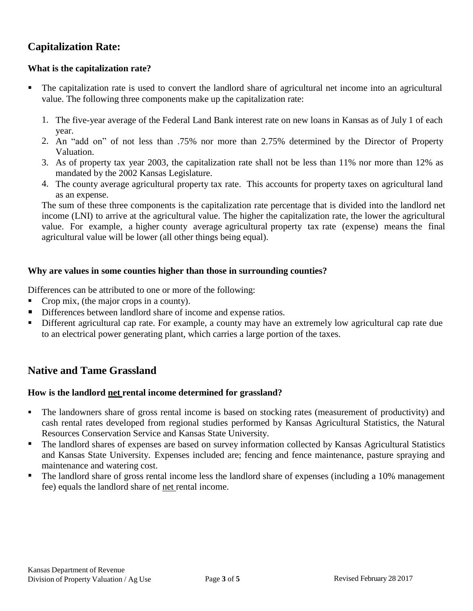### **Capitalization Rate:**

#### **What is the capitalization rate?**

- The capitalization rate is used to convert the landlord share of agricultural net income into an agricultural value. The following three components make up the capitalization rate:
	- 1. The five-year average of the Federal Land Bank interest rate on new loans in Kansas as of July 1 of each year.
	- 2. An "add on" of not less than .75% nor more than 2.75% determined by the Director of Property Valuation.
	- 3. As of property tax year 2003, the capitalization rate shall not be less than 11% nor more than 12% as mandated by the 2002 Kansas Legislature.
	- 4. The county average agricultural property tax rate. This accounts for property taxes on agricultural land as an expense.

The sum of these three components is the capitalization rate percentage that is divided into the landlord net income (LNI) to arrive at the agricultural value. The higher the capitalization rate, the lower the agricultural value. For example, a higher county average agricultural property tax rate (expense) means the final agricultural value will be lower (all other things being equal).

#### **Why are values in some counties higher than those in surrounding counties?**

Differences can be attributed to one or more of the following:

- Crop mix, (the major crops in a county).
- Differences between landlord share of income and expense ratios.
- Different agricultural cap rate. For example, a county may have an extremely low agricultural cap rate due to an electrical power generating plant, which carries a large portion of the taxes.

## **Native and Tame Grassland**

#### **How is the landlord net rental income determined for grassland?**

- The landowners share of gross rental income is based on stocking rates (measurement of productivity) and cash rental rates developed from regional studies performed by Kansas Agricultural Statistics, the Natural Resources Conservation Service and Kansas State University.
- The landlord shares of expenses are based on survey information collected by Kansas Agricultural Statistics and Kansas State University. Expenses included are; fencing and fence maintenance, pasture spraying and maintenance and watering cost.
- The landlord share of gross rental income less the landlord share of expenses (including a 10% management fee) equals the landlord share of net rental income.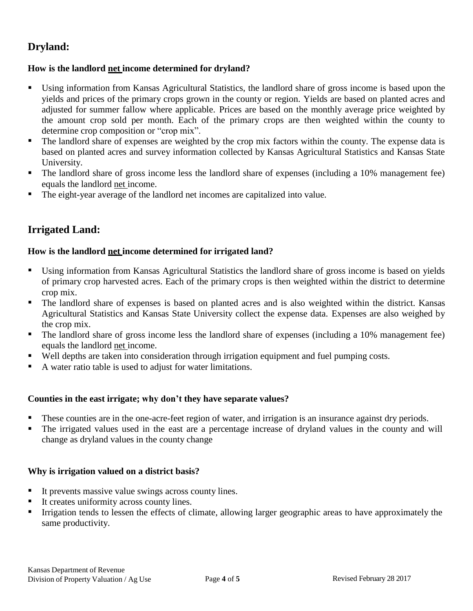## **Dryland:**

#### **How is the landlord net income determined for dryland?**

- Using information from Kansas Agricultural Statistics, the landlord share of gross income is based upon the yields and prices of the primary crops grown in the county or region. Yields are based on planted acres and adjusted for summer fallow where applicable. Prices are based on the monthly average price weighted by the amount crop sold per month. Each of the primary crops are then weighted within the county to determine crop composition or "crop mix".
- The landlord share of expenses are weighted by the crop mix factors within the county. The expense data is based on planted acres and survey information collected by Kansas Agricultural Statistics and Kansas State University.
- The landlord share of gross income less the landlord share of expenses (including a 10% management fee) equals the landlord net income.
- The eight-year average of the landlord net incomes are capitalized into value.

## **Irrigated Land:**

#### **How is the landlord net income determined for irrigated land?**

- Using information from Kansas Agricultural Statistics the landlord share of gross income is based on yields of primary crop harvested acres. Each of the primary crops is then weighted within the district to determine crop mix.
- The landlord share of expenses is based on planted acres and is also weighted within the district. Kansas Agricultural Statistics and Kansas State University collect the expense data. Expenses are also weighed by the crop mix.
- The landlord share of gross income less the landlord share of expenses (including a 10% management fee) equals the landlord net income.
- Well depths are taken into consideration through irrigation equipment and fuel pumping costs.
- A water ratio table is used to adjust for water limitations.

#### **Counties in the east irrigate; why don't they have separate values?**

- These counties are in the one-acre-feet region of water, and irrigation is an insurance against dry periods.
- The irrigated values used in the east are a percentage increase of dryland values in the county and will change as dryland values in the county change

#### **Why is irrigation valued on a district basis?**

- It prevents massive value swings across county lines.
- It creates uniformity across county lines.
- Irrigation tends to lessen the effects of climate, allowing larger geographic areas to have approximately the same productivity.